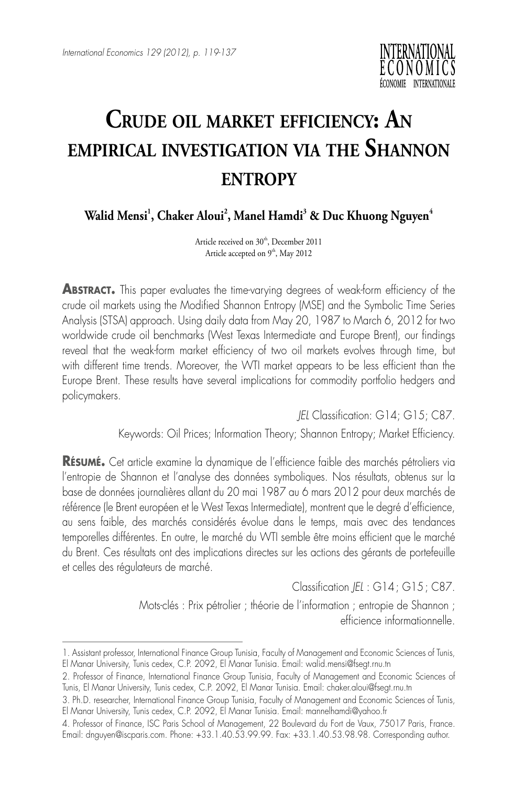

## **Crude oil market efficiency: An empirical investigation via the Shannon entropy**

Walid Mensi<sup>1</sup>, Chaker Aloui<sup>2</sup>, Manel Hamdi<sup>3</sup> & Duc Khuong Nguyen<sup>4</sup>

Article received on 30<sup>th</sup>, December 2011 Article accepted on 9<sup>th</sup>, May 2012

**ABSTRACT.** This paper evaluates the time-varying degrees of weak-form efficiency of the crude oil markets using the Modified Shannon Entropy (MSE) and the Symbolic Time Series Analysis (STSA) approach. Using daily data from May 20, 1987 to March 6, 2012 for two worldwide crude oil benchmarks (West Texas Intermediate and Europe Brent), our findings reveal that the weak-form market efficiency of two oil markets evolves through time, but with different time trends. Moreover, the WTI market appears to be less efficient than the Europe Brent. These results have several implications for commodity portfolio hedgers and policymakers.

*JEL* Classification: G14; G15; C87.

Keywords: Oil Prices; Information Theory; Shannon Entropy; Market Efficiency.

**Résumé.** Cet article examine la dynamique de l'efficience faible des marchés pétroliers via l'entropie de Shannon et l'analyse des données symboliques. Nos résultats, obtenus sur la base de données journalières allant du 20 mai 1987 au 6 mars 2012 pour deux marchés de référence (le Brent européen et le West Texas Intermediate), montrent que le degré d'efficience, au sens faible, des marchés considérés évolue dans le temps, mais avec des tendances temporelles différentes. En outre, le marché du WTI semble être moins efficient que le marché du Brent. Ces résultats ont des implications directes sur les actions des gérants de portefeuille et celles des régulateurs de marché.

Classification *JEL* : G14; G15; C87.

Mots-clés : Prix pétrolier ; théorie de l'information ; entropie de Shannon ; efficience informationnelle.

<sup>1.</sup> Assistant professor, International Finance Group Tunisia, Faculty of Management and Economic Sciences of Tunis, El Manar University, Tunis cedex, C.P. 2092, El Manar Tunisia. Email: [walid.mensi@fsegt.rnu.tn](mailto:walid.mensi@fsegt.rnu.tn)

<sup>2.</sup> Professor of Finance, International Finance Group Tunisia, Faculty of Management and Economic Sciences of Tunis, El Manar University, Tunis cedex, C.P. 2092, El Manar Tunisia. Email: [chaker.aloui@fsegt.rnu.tn](mailto:chaker.aloui@fsegt.rnu.tn) 

<sup>3.</sup> Ph.D. researcher, International Finance Group Tunisia, Faculty of Management and Economic Sciences of Tunis, El Manar University, Tunis cedex, C.P. 2092, El Manar Tunisia. Email: mannelhamdi@yahoo.fr

<sup>4.</sup> Professor of Finance, ISC Paris School of Management, 22 Boulevard du Fort de Vaux, 75017 Paris, France. Email: [dnguyen@iscparis.com.](mailto:dnguyen@iscparis.com) Phone: +33.1.40.53.99.99. Fax: +33.1.40.53.98.98. Corresponding author.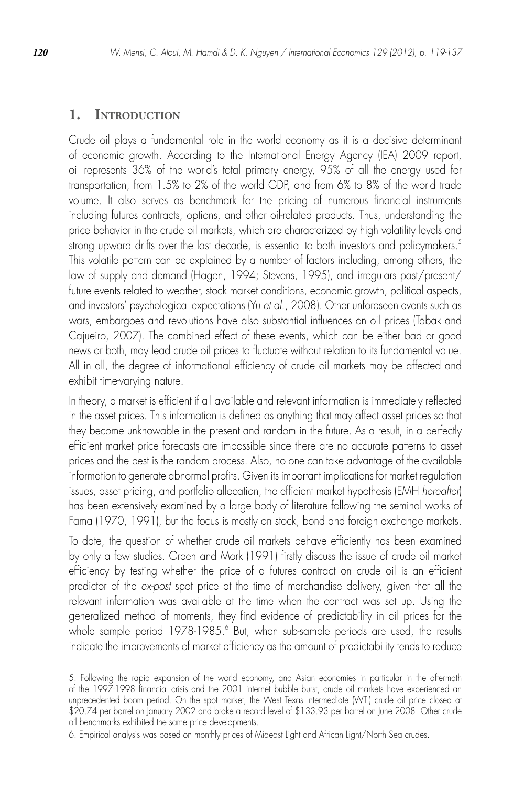## **1. Introduction**

Crude oil plays a fundamental role in the world economy as it is a decisive determinant of economic growth. According to the International Energy Agency (IEA) 2009 report, oil represents 36% of the world's total primary energy, 95% of all the energy used for transportation, from 1.5% to 2% of the world GDP, and from 6% to 8% of the world trade volume. It also serves as benchmark for the pricing of numerous financial instruments including futures contracts, options, and other oil-related products. Thus, understanding the price behavior in the crude oil markets, which are characterized by high volatility levels and strong upward drifts over the last decade, is essential to both investors and policymakers.<sup>5</sup> This volatile pattern can be explained by a number of factors including, among others, the law of supply and demand (Hagen, 1994; Stevens, 1995), and irregulars past/present/ future events related to weather, stock market conditions, economic growth, political aspects, and investors' psychological expectations (Yu *et al.*, 2008). Other unforeseen events such as wars, embargoes and revolutions have also substantial influences on oil prices (Tabak and Cajueiro, 2007). The combined effect of these events, which can be either bad or good news or both, may lead crude oil prices to fluctuate without relation to its fundamental value. All in all, the degree of informational efficiency of crude oil markets may be affected and exhibit time-varying nature.

In theory, a market is efficient if all available and relevant information is immediately reflected in the asset prices. This information is defined as anything that may affect asset prices so that they become unknowable in the present and random in the future. As a result, in a perfectly efficient market price forecasts are impossible since there are no accurate patterns to asset prices and the best is the random process. Also, no one can take advantage of the available information to generate abnormal profits. Given its important implications for market regulation issues, asset pricing, and portfolio allocation, the efficient market hypothesis (EMH *hereafter*) has been extensively examined by a large body of literature following the seminal works of Fama (1970, 1991), but the focus is mostly on stock, bond and foreign exchange markets.

To date, the question of whether crude oil markets behave efficiently has been examined by only a few studies. Green and Mork (1991) firstly discuss the issue of crude oil market efficiency by testing whether the price of a futures contract on crude oil is an efficient predictor of the *ex-post* spot price at the time of merchandise delivery, given that all the relevant information was available at the time when the contract was set up. Using the generalized method of moments, they find evidence of predictability in oil prices for the whole sample period 1978-1985.<sup>6</sup> But, when sub-sample periods are used, the results indicate the improvements of market efficiency as the amount of predictability tends to reduce

<sup>5.</sup> Following the rapid expansion of the world economy, and Asian economies in particular in the aftermath of the 1997-1998 financial crisis and the 2001 internet bubble burst, crude oil markets have experienced an unprecedented boom period. On the spot market, the West Texas Intermediate (WTI) crude oil price closed at \$20.74 per barrel on January 2002 and broke a record level of \$133.93 per barrel on June 2008. Other crude oil benchmarks exhibited the same price developments.

<sup>6.</sup> Empirical analysis was based on monthly prices of Mideast Light and African Light/North Sea crudes.